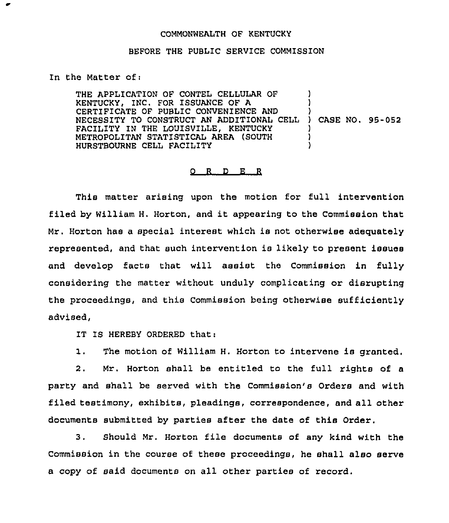## COMMONWEALTH OF KENTUCKY

## BEFORE THE PUBLIC SERVICE COMMISSION

## In the Matter of:

THE APPLICATION OF CONTEL CELLULAR OF KENTUCKY, INC. FOR ISSUANCE OF A CERTIFICATE OF PUBLIC CONVENIENCE AND NECESSITY TO CONSTRUCT AN ADDITIONAL CELL ) ) CASE NO. 95-052 FACILITY IN THE LOUISVILLE, KENTUCKY METROPOLITAN STATISTICAL AREA (SOUTH HURSTBOURNE CELL FACILITY ) ) ) ) )

## 0 R <sup>D</sup> E R

This matter arising upon the motion for full intervention filed by William H. Horton, and it appearing to the Commission that Mr. Horton has a special interest which is not otherwise adequately represented, and that such intervention is likely to present issues and develop facts that will assist the Commission in fully considering the matter without unduly complicating or disrupting the proceedings, and this Commission being otherwise sufficiently advised,

IT IS HEREBY ORDERED that:

1. The motion of William H. Horton to intervene is granted.

2. Mr. Horton shall be entitled to the full rights of a party and shall be served with the Commission's Orders and with filed testimony, exhibits, pleadings, correspondence, and all other documents submitted by parties after the date of this Order.

3. Should Mr. Horton file documents of any kind with the Commission in the course of these proceedings, he shall also serve a copy of said documents on all other parties of record.